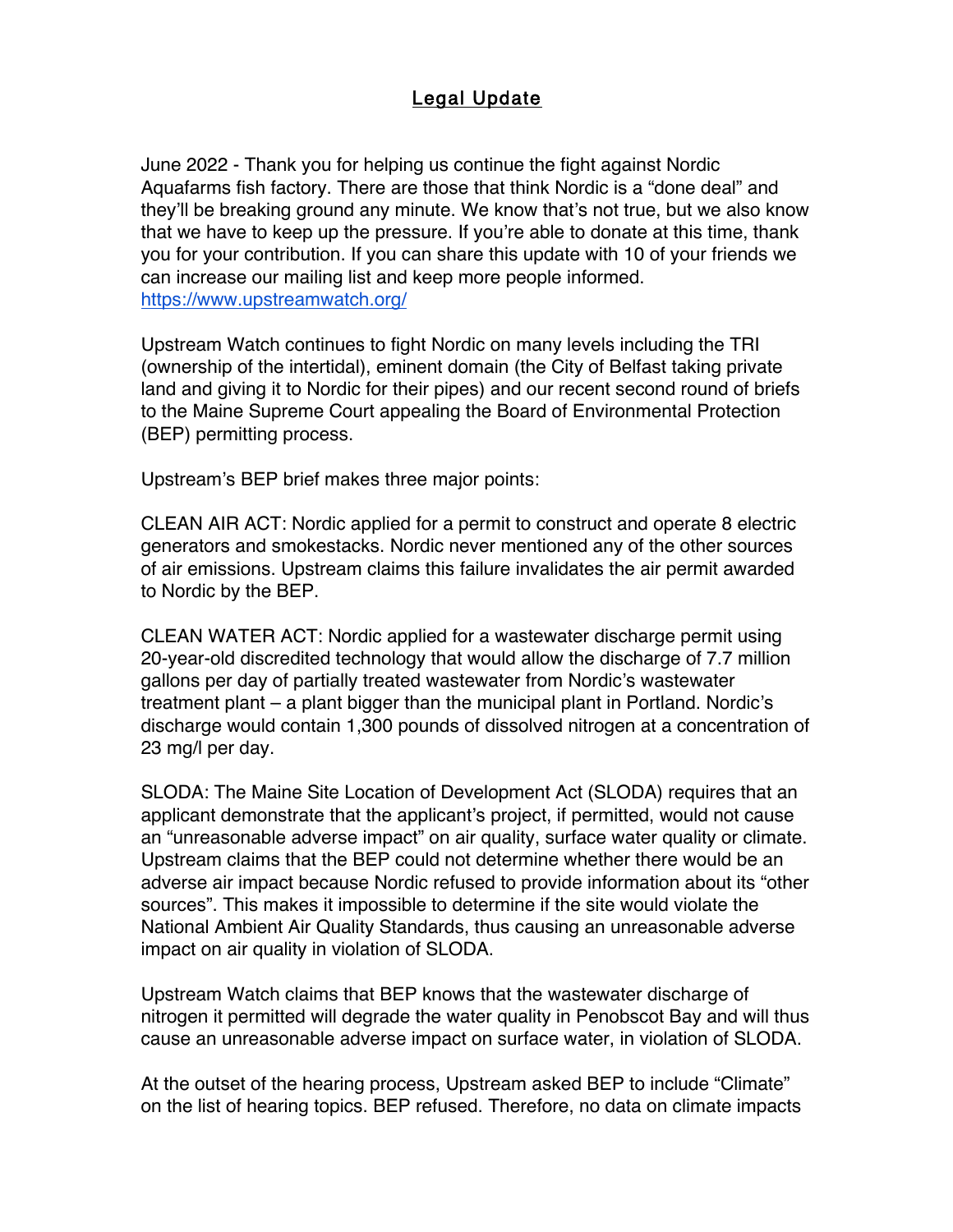## Legal Update

June 2022 - Thank you for helping us continue the fight against Nordic Aquafarms fish factory. There are those that think Nordic is a "done deal" and they'll be breaking ground any minute. We know that's not true, but we also know that we have to keep up the pressure. If you're able to donate at this time, thank you for your contribution. If you can share this update with 10 of your friends we can increase our mailing list and keep more people informed. https://www.upstreamwatch.org/

Upstream Watch continues to fight Nordic on many levels including the TRI (ownership of the intertidal), eminent domain (the City of Belfast taking private land and giving it to Nordic for their pipes) and our recent second round of briefs to the Maine Supreme Court appealing the Board of Environmental Protection (BEP) permitting process.

Upstream's BEP brief makes three major points:

CLEAN AIR ACT: Nordic applied for a permit to construct and operate 8 electric generators and smokestacks. Nordic never mentioned any of the other sources of air emissions. Upstream claims this failure invalidates the air permit awarded to Nordic by the BEP.

CLEAN WATER ACT: Nordic applied for a wastewater discharge permit using 20-year-old discredited technology that would allow the discharge of 7.7 million gallons per day of partially treated wastewater from Nordic's wastewater treatment plant – a plant bigger than the municipal plant in Portland. Nordic's discharge would contain 1,300 pounds of dissolved nitrogen at a concentration of 23 mg/l per day.

SLODA: The Maine Site Location of Development Act (SLODA) requires that an applicant demonstrate that the applicant's project, if permitted, would not cause an "unreasonable adverse impact" on air quality, surface water quality or climate. Upstream claims that the BEP could not determine whether there would be an adverse air impact because Nordic refused to provide information about its "other sources". This makes it impossible to determine if the site would violate the National Ambient Air Quality Standards, thus causing an unreasonable adverse impact on air quality in violation of SLODA.

Upstream Watch claims that BEP knows that the wastewater discharge of nitrogen it permitted will degrade the water quality in Penobscot Bay and will thus cause an unreasonable adverse impact on surface water, in violation of SLODA.

At the outset of the hearing process, Upstream asked BEP to include "Climate" on the list of hearing topics. BEP refused. Therefore, no data on climate impacts